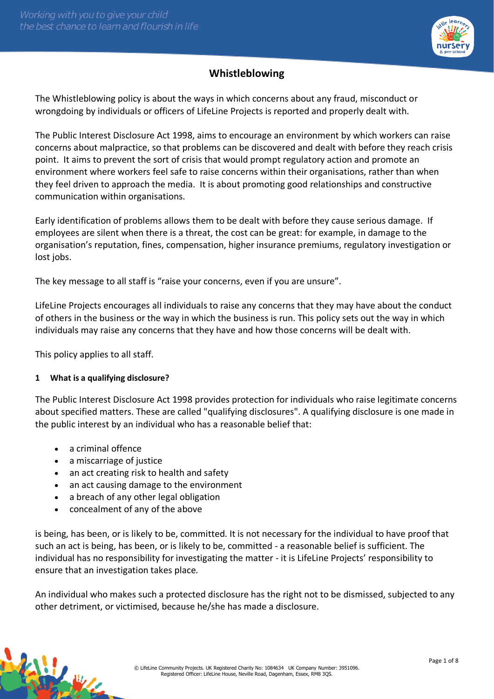

# **Whistleblowing**

The Whistleblowing policy is about the ways in which concerns about any fraud, misconduct or wrongdoing by individuals or officers of LifeLine Projects is reported and properly dealt with.

The Public Interest Disclosure Act 1998, aims to encourage an environment by which workers can raise concerns about malpractice, so that problems can be discovered and dealt with before they reach crisis point. It aims to prevent the sort of crisis that would prompt regulatory action and promote an environment where workers feel safe to raise concerns within their organisations, rather than when they feel driven to approach the media. It is about promoting good relationships and constructive communication within organisations.

Early identification of problems allows them to be dealt with before they cause serious damage. If employees are silent when there is a threat, the cost can be great: for example, in damage to the organisation's reputation, fines, compensation, higher insurance premiums, regulatory investigation or lost jobs.

The key message to all staff is "raise your concerns, even if you are unsure".

LifeLine Projects encourages all individuals to raise any concerns that they may have about the conduct of others in the business or the way in which the business is run. This policy sets out the way in which individuals may raise any concerns that they have and how those concerns will be dealt with.

This policy applies to all staff.

### **1 What is a qualifying disclosure?**

The Public Interest Disclosure Act 1998 provides protection for individuals who raise legitimate concerns about specified matters. These are called "qualifying disclosures". A qualifying disclosure is one made in the public interest by an individual who has a reasonable belief that:

- a criminal offence
- a miscarriage of justice
- an act creating risk to health and safety
- an act causing damage to the environment
- a breach of any other legal obligation
- concealment of any of the above

is being, has been, or is likely to be, committed. It is not necessary for the individual to have proof that such an act is being, has been, or is likely to be, committed - a reasonable belief is sufficient. The individual has no responsibility for investigating the matter - it is LifeLine Projects' responsibility to ensure that an investigation takes place.

An individual who makes such a protected disclosure has the right not to be dismissed, subjected to any other detriment, or victimised, because he/she has made a disclosure.

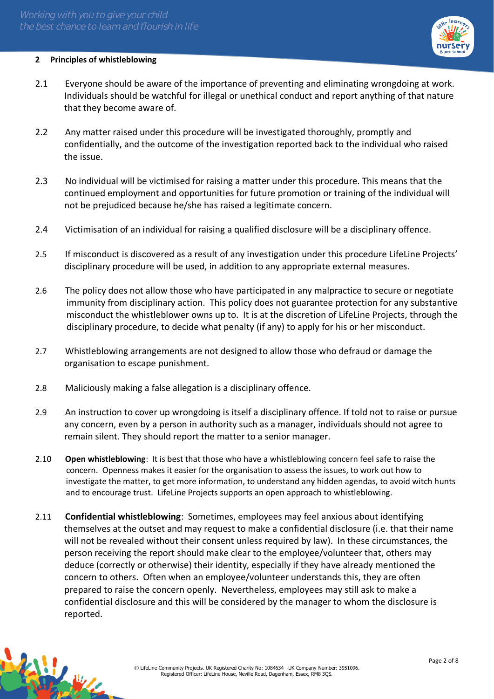

### **2 Principles of whistleblowing**

- 2.1 Everyone should be aware of the importance of preventing and eliminating wrongdoing at work. Individuals should be watchful for illegal or unethical conduct and report anything of that nature that they become aware of.
- 2.2 Any matter raised under this procedure will be investigated thoroughly, promptly and confidentially, and the outcome of the investigation reported back to the individual who raised the issue.
- 2.3 No individual will be victimised for raising a matter under this procedure. This means that the continued employment and opportunities for future promotion or training of the individual will not be prejudiced because he/she has raised a legitimate concern.
- 2.4 Victimisation of an individual for raising a qualified disclosure will be a disciplinary offence.
- 2.5 If misconduct is discovered as a result of any investigation under this procedure LifeLine Projects' disciplinary procedure will be used, in addition to any appropriate external measures.
- 2.6 The policy does not allow those who have participated in any malpractice to secure or negotiate immunity from disciplinary action. This policy does not guarantee protection for any substantive misconduct the whistleblower owns up to. It is at the discretion of LifeLine Projects, through the disciplinary procedure, to decide what penalty (if any) to apply for his or her misconduct.
- 2.7 Whistleblowing arrangements are not designed to allow those who defraud or damage the organisation to escape punishment.
- 2.8 Maliciously making a false allegation is a disciplinary offence.
- 2.9 An instruction to cover up wrongdoing is itself a disciplinary offence. If told not to raise or pursue any concern, even by a person in authority such as a manager, individuals should not agree to remain silent. They should report the matter to a senior manager.
- 2.10 **Open whistleblowing**: It is best that those who have a whistleblowing concern feel safe to raise the concern. Openness makes it easier for the organisation to assess the issues, to work out how to investigate the matter, to get more information, to understand any hidden agendas, to avoid witch hunts and to encourage trust. LifeLine Projects supports an open approach to whistleblowing.
- 2.11 **Confidential whistleblowing**: Sometimes, employees may feel anxious about identifying themselves at the outset and may request to make a confidential disclosure (i.e. that their name will not be revealed without their consent unless required by law). In these circumstances, the person receiving the report should make clear to the employee/volunteer that, others may deduce (correctly or otherwise) their identity, especially if they have already mentioned the concern to others. Often when an employee/volunteer understands this, they are often prepared to raise the concern openly. Nevertheless, employees may still ask to make a confidential disclosure and this will be considered by the manager to whom the disclosure is reported.

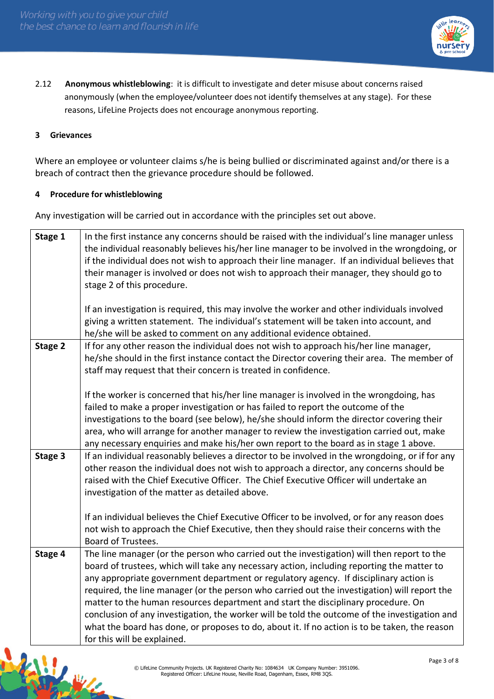

2.12 **Anonymous whistleblowing**: it is difficult to investigate and deter misuse about concerns raised anonymously (when the employee/volunteer does not identify themselves at any stage). For these reasons, LifeLine Projects does not encourage anonymous reporting.

#### **3 Grievances**

Where an employee or volunteer claims s/he is being bullied or discriminated against and/or there is a breach of contract then the grievance procedure should be followed.

#### **4 Procedure for whistleblowing**

Any investigation will be carried out in accordance with the principles set out above.

| Stage 1 | In the first instance any concerns should be raised with the individual's line manager unless<br>the individual reasonably believes his/her line manager to be involved in the wrongdoing, or<br>if the individual does not wish to approach their line manager. If an individual believes that<br>their manager is involved or does not wish to approach their manager, they should go to<br>stage 2 of this procedure.                                                                                                                                                                                                                                                                                |
|---------|---------------------------------------------------------------------------------------------------------------------------------------------------------------------------------------------------------------------------------------------------------------------------------------------------------------------------------------------------------------------------------------------------------------------------------------------------------------------------------------------------------------------------------------------------------------------------------------------------------------------------------------------------------------------------------------------------------|
|         | If an investigation is required, this may involve the worker and other individuals involved<br>giving a written statement. The individual's statement will be taken into account, and<br>he/she will be asked to comment on any additional evidence obtained.                                                                                                                                                                                                                                                                                                                                                                                                                                           |
| Stage 2 | If for any other reason the individual does not wish to approach his/her line manager,<br>he/she should in the first instance contact the Director covering their area. The member of<br>staff may request that their concern is treated in confidence.                                                                                                                                                                                                                                                                                                                                                                                                                                                 |
|         | If the worker is concerned that his/her line manager is involved in the wrongdoing, has<br>failed to make a proper investigation or has failed to report the outcome of the<br>investigations to the board (see below), he/she should inform the director covering their<br>area, who will arrange for another manager to review the investigation carried out, make<br>any necessary enquiries and make his/her own report to the board as in stage 1 above.                                                                                                                                                                                                                                           |
| Stage 3 | If an individual reasonably believes a director to be involved in the wrongdoing, or if for any<br>other reason the individual does not wish to approach a director, any concerns should be<br>raised with the Chief Executive Officer. The Chief Executive Officer will undertake an<br>investigation of the matter as detailed above.                                                                                                                                                                                                                                                                                                                                                                 |
|         | If an individual believes the Chief Executive Officer to be involved, or for any reason does<br>not wish to approach the Chief Executive, then they should raise their concerns with the<br>Board of Trustees.                                                                                                                                                                                                                                                                                                                                                                                                                                                                                          |
| Stage 4 | The line manager (or the person who carried out the investigation) will then report to the<br>board of trustees, which will take any necessary action, including reporting the matter to<br>any appropriate government department or regulatory agency. If disciplinary action is<br>required, the line manager (or the person who carried out the investigation) will report the<br>matter to the human resources department and start the disciplinary procedure. On<br>conclusion of any investigation, the worker will be told the outcome of the investigation and<br>what the board has done, or proposes to do, about it. If no action is to be taken, the reason<br>for this will be explained. |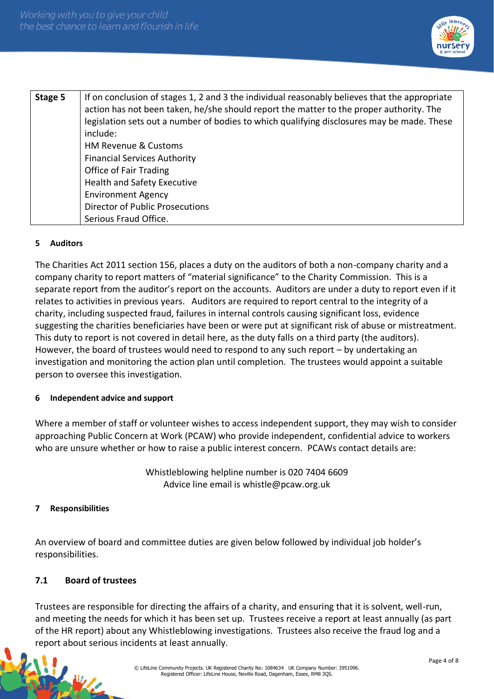

| Stage 5 | If on conclusion of stages 1, 2 and 3 the individual reasonably believes that the appropriate<br>action has not been taken, he/she should report the matter to the proper authority. The<br>legislation sets out a number of bodies to which qualifying disclosures may be made. These |
|---------|----------------------------------------------------------------------------------------------------------------------------------------------------------------------------------------------------------------------------------------------------------------------------------------|
|         | include:                                                                                                                                                                                                                                                                               |
|         | <b>HM Revenue &amp; Customs</b>                                                                                                                                                                                                                                                        |
|         | <b>Financial Services Authority</b>                                                                                                                                                                                                                                                    |
|         | Office of Fair Trading                                                                                                                                                                                                                                                                 |
|         | <b>Health and Safety Executive</b>                                                                                                                                                                                                                                                     |
|         | <b>Environment Agency</b>                                                                                                                                                                                                                                                              |
|         | <b>Director of Public Prosecutions</b>                                                                                                                                                                                                                                                 |
|         | Serious Fraud Office.                                                                                                                                                                                                                                                                  |

### **5 Auditors**

The Charities Act 2011 section 156, places a duty on the auditors of both a non-company charity and a company charity to report matters of "material significance" to the Charity Commission. This is a separate report from the auditor's report on the accounts. Auditors are under a duty to report even if it relates to activities in previous years. Auditors are required to report central to the integrity of a charity, including suspected fraud, failures in internal controls causing significant loss, evidence suggesting the charities beneficiaries have been or were put at significant risk of abuse or mistreatment. This duty to report is not covered in detail here, as the duty falls on a third party (the auditors). However, the board of trustees would need to respond to any such report – by undertaking an investigation and monitoring the action plan until completion. The trustees would appoint a suitable person to oversee this investigation.

### **6 Independent advice and support**

Where a member of staff or volunteer wishes to access independent support, they may wish to consider approaching Public Concern at Work (PCAW) who provide independent, confidential advice to workers who are unsure whether or how to raise a public interest concern. PCAWs contact details are:

> Whistleblowing helpline number is 020 7404 6609 Advice line email is whistle@pcaw.org.uk

### **7 Responsibilities**

An overview of board and committee duties are given below followed by individual job holder's responsibilities.

### **7.1 Board of trustees**

Trustees are responsible for directing the affairs of a charity, and ensuring that it is solvent, well-run, and meeting the needs for which it has been set up. Trustees receive a report at least annually (as part of the HR report) about any Whistleblowing investigations. Trustees also receive the fraud log and a report about serious incidents at least annually.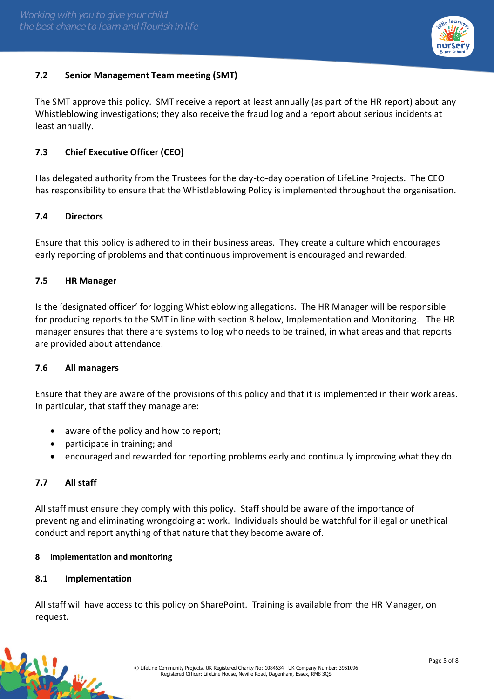

# **7.2 Senior Management Team meeting (SMT)**

The SMT approve this policy. SMT receive a report at least annually (as part of the HR report) about any Whistleblowing investigations; they also receive the fraud log and a report about serious incidents at least annually.

## **7.3 Chief Executive Officer (CEO)**

Has delegated authority from the Trustees for the day-to-day operation of LifeLine Projects. The CEO has responsibility to ensure that the Whistleblowing Policy is implemented throughout the organisation.

## **7.4 Directors**

Ensure that this policy is adhered to in their business areas. They create a culture which encourages early reporting of problems and that continuous improvement is encouraged and rewarded.

### **7.5 HR Manager**

Is the 'designated officer' for logging Whistleblowing allegations. The HR Manager will be responsible for producing reports to the SMT in line with section 8 below, Implementation and Monitoring. The HR manager ensures that there are systems to log who needs to be trained, in what areas and that reports are provided about attendance.

### **7.6 All managers**

Ensure that they are aware of the provisions of this policy and that it is implemented in their work areas. In particular, that staff they manage are:

- aware of the policy and how to report;
- participate in training; and
- encouraged and rewarded for reporting problems early and continually improving what they do.

### **7.7 All staff**

All staff must ensure they comply with this policy. Staff should be aware of the importance of preventing and eliminating wrongdoing at work. Individuals should be watchful for illegal or unethical conduct and report anything of that nature that they become aware of.

### **8 Implementation and monitoring**

### **8.1 Implementation**

All staff will have access to this policy on SharePoint. Training is available from the HR Manager, on request.

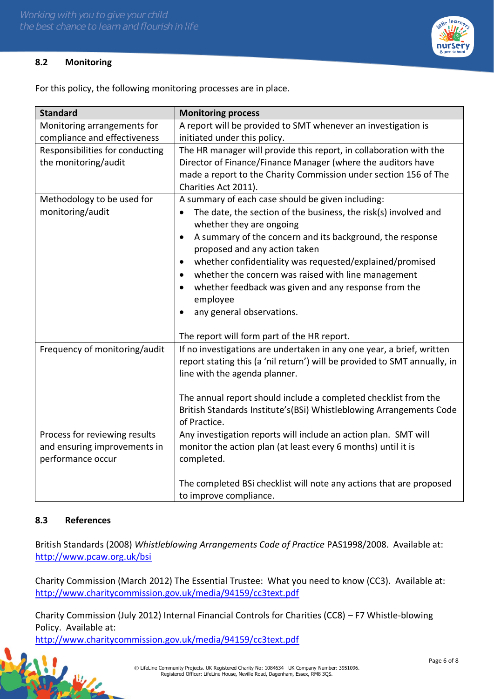## **8.2 Monitoring**



For this policy, the following monitoring processes are in place.

| <b>Standard</b>                 | <b>Monitoring process</b>                                                                                |  |  |  |
|---------------------------------|----------------------------------------------------------------------------------------------------------|--|--|--|
| Monitoring arrangements for     | A report will be provided to SMT whenever an investigation is                                            |  |  |  |
| compliance and effectiveness    | initiated under this policy.                                                                             |  |  |  |
| Responsibilities for conducting | The HR manager will provide this report, in collaboration with the                                       |  |  |  |
| the monitoring/audit            | Director of Finance/Finance Manager (where the auditors have                                             |  |  |  |
|                                 | made a report to the Charity Commission under section 156 of The                                         |  |  |  |
|                                 | Charities Act 2011).                                                                                     |  |  |  |
| Methodology to be used for      | A summary of each case should be given including:                                                        |  |  |  |
| monitoring/audit                | The date, the section of the business, the risk(s) involved and<br>$\bullet$<br>whether they are ongoing |  |  |  |
|                                 | A summary of the concern and its background, the response<br>$\bullet$<br>proposed and any action taken  |  |  |  |
|                                 | whether confidentiality was requested/explained/promised<br>$\bullet$                                    |  |  |  |
|                                 | whether the concern was raised with line management<br>$\bullet$                                         |  |  |  |
|                                 | whether feedback was given and any response from the<br>$\bullet$                                        |  |  |  |
|                                 | employee                                                                                                 |  |  |  |
|                                 | any general observations.                                                                                |  |  |  |
|                                 |                                                                                                          |  |  |  |
|                                 | The report will form part of the HR report.                                                              |  |  |  |
| Frequency of monitoring/audit   | If no investigations are undertaken in any one year, a brief, written                                    |  |  |  |
|                                 | report stating this (a 'nil return') will be provided to SMT annually, in                                |  |  |  |
|                                 | line with the agenda planner.                                                                            |  |  |  |
|                                 |                                                                                                          |  |  |  |
|                                 | The annual report should include a completed checklist from the                                          |  |  |  |
|                                 | British Standards Institute's(BSi) Whistleblowing Arrangements Code<br>of Practice.                      |  |  |  |
| Process for reviewing results   | Any investigation reports will include an action plan. SMT will                                          |  |  |  |
| and ensuring improvements in    | monitor the action plan (at least every 6 months) until it is                                            |  |  |  |
| performance occur               | completed.                                                                                               |  |  |  |
|                                 |                                                                                                          |  |  |  |
|                                 | The completed BSi checklist will note any actions that are proposed                                      |  |  |  |
|                                 | to improve compliance.                                                                                   |  |  |  |

### **8.3 References**

传说业

British Standards (2008) *Whistleblowing Arrangements Code of Practice* PAS1998/2008. Available at: <http://www.pcaw.org.uk/bsi>

Charity Commission (March 2012) The Essential Trustee: What you need to know (CC3). Available at: <http://www.charitycommission.gov.uk/media/94159/cc3text.pdf>

Charity Commission (July 2012) Internal Financial Controls for Charities (CC8) – F7 Whistle-blowing Policy. Available at:

<http://www.charitycommission.gov.uk/media/94159/cc3text.pdf>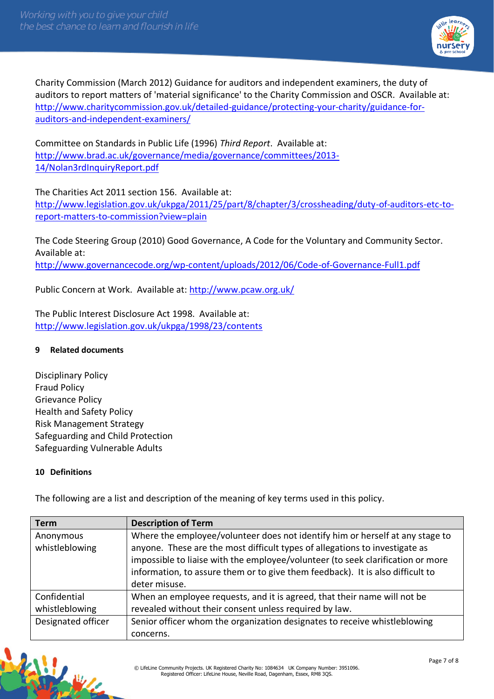

Charity Commission (March 2012) Guidance for auditors and independent examiners, the duty of auditors to report matters of 'material significance' to the Charity Commission and OSCR. Available at: [http://www.charitycommission.gov.uk/detailed-guidance/protecting-your-charity/guidance-for](http://www.charitycommission.gov.uk/detailed-guidance/protecting-your-charity/guidance-for-auditors-and-independent-examiners/)[auditors-and-independent-examiners/](http://www.charitycommission.gov.uk/detailed-guidance/protecting-your-charity/guidance-for-auditors-and-independent-examiners/)

Committee on Standards in Public Life (1996) *Third Report*. Available at: [http://www.brad.ac.uk/governance/media/governance/committees/2013-](http://www.brad.ac.uk/governance/media/governance/committees/2013-14/Nolan3rdInquiryReport.pdf) [14/Nolan3rdInquiryReport.pdf](http://www.brad.ac.uk/governance/media/governance/committees/2013-14/Nolan3rdInquiryReport.pdf)

The Charities Act 2011 section 156. Available at: [http://www.legislation.gov.uk/ukpga/2011/25/part/8/chapter/3/crossheading/duty-of-auditors-etc-to](http://www.legislation.gov.uk/ukpga/2011/25/part/8/chapter/3/crossheading/duty-of-auditors-etc-to-report-matters-to-commission?view=plain)[report-matters-to-commission?view=plain](http://www.legislation.gov.uk/ukpga/2011/25/part/8/chapter/3/crossheading/duty-of-auditors-etc-to-report-matters-to-commission?view=plain)

The Code Steering Group (2010) Good Governance, A Code for the Voluntary and Community Sector. Available at: <http://www.governancecode.org/wp-content/uploads/2012/06/Code-of-Governance-Full1.pdf>

Public Concern at Work. Available at: http://www.pcaw.org.uk/

The Public Interest Disclosure Act 1998. Available at: <http://www.legislation.gov.uk/ukpga/1998/23/contents>

## **9 Related documents**

Disciplinary Policy Fraud Policy Grievance Policy Health and Safety Policy Risk Management Strategy Safeguarding and Child Protection Safeguarding Vulnerable Adults

### **10 Definitions**

West

The following are a list and description of the meaning of key terms used in this policy.

| <b>Term</b>        | <b>Description of Term</b>                                                      |
|--------------------|---------------------------------------------------------------------------------|
| Anonymous          | Where the employee/volunteer does not identify him or herself at any stage to   |
| whistleblowing     | anyone. These are the most difficult types of allegations to investigate as     |
|                    | impossible to liaise with the employee/volunteer (to seek clarification or more |
|                    | information, to assure them or to give them feedback). It is also difficult to  |
|                    | deter misuse.                                                                   |
| Confidential       | When an employee requests, and it is agreed, that their name will not be        |
| whistleblowing     | revealed without their consent unless required by law.                          |
| Designated officer | Senior officer whom the organization designates to receive whistleblowing       |
|                    | concerns.                                                                       |